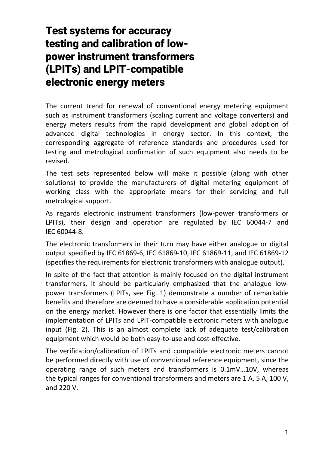## Test systems for accuracy testing and calibration of lowpower instrument transformers (LPITs) and LPIT-compatible electronic energy meters

The current trend for renewal of conventional energy metering equipment such as instrument transformers (scaling current and voltage converters) and energy meters results from the rapid development and global adoption of advanced digital technologies in energy sector. In this context, the corresponding aggregate of reference standards and procedures used for testing and metrological confirmation of such equipment also needs to be revised.

The test sets represented below will make it possible (along with other solutions) to provide the manufacturers of digital metering equipment of working class with the appropriate means for their servicing and full metrological support.

As regards electronic instrument transformers (low‐power transformers or LPITs), their design and operation are regulated by IEC 60044‐7 and IEC 60044‐8.

The electronic transformers in their turn may have either analogue or digital output specified by IEC 61869‐6, IEC 61869‐10, IEC 61869‐11, and IEC 61869‐12 (specifies the requirements for electronic transformers with analogue output).

In spite of the fact that attention is mainly focused on the digital instrument transformers, it should be particularly emphasized that the analogue low‐ power transformers (LPITs, see Fig. 1) demonstrate a number of remarkable benefits and therefore are deemed to have a considerable application potential on the energy market. However there is one factor that essentially limits the implementation of LPITs and LPIT‐compatible electronic meters with analogue input (Fig. 2). This is an almost complete lack of adequate test/calibration equipment which would be both easy-to-use and cost-effective.

The verification/calibration of LPITs and compatible electronic meters cannot be performed directly with use of conventional reference equipment, since the operating range of such meters and transformers is 0.1mV…10V, whereas the typical ranges for conventional transformers and meters are 1 A, 5 A, 100 V, and 220 V.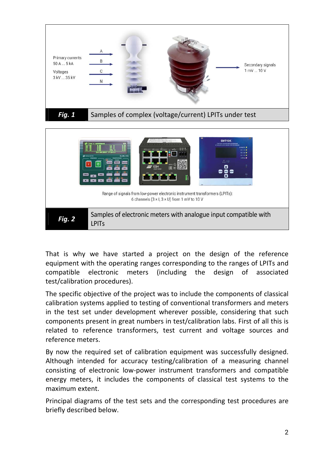



That is why we have started a project on the design of the reference equipment with the operating ranges corresponding to the ranges of LPITs and compatible electronic meters (including the design of associated test/calibration procedures).

The specific objective of the project was to include the components of classical calibration systems applied to testing of conventional transformers and meters in the test set under development wherever possible, considering that such components present in great numbers in test/calibration labs. First of all this is related to reference transformers, test current and voltage sources and reference meters.

By now the required set of calibration equipment was successfully designed. Although intended for accuracy testing/calibration of a measuring channel consisting of electronic low‐power instrument transformers and compatible energy meters, it includes the components of classical test systems to the maximum extent.

Principal diagrams of the test sets and the corresponding test procedures are briefly described below.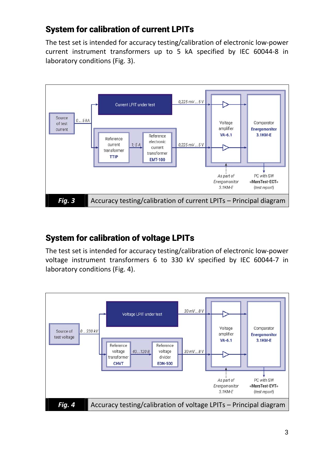## System for calibration of current LPITs

The test set is intended for accuracy testing/calibration of electronic low‐power current instrument transformers up to 5 kA specified by IEC 60044‐8 in laboratory conditions (Fig. 3).



## System for calibration of voltage LPITs

The test set is intended for accuracy testing/calibration of electronic low‐power voltage instrument transformers 6 to 330 kV specified by IEC 60044‐7 in laboratory conditions (Fig. 4).

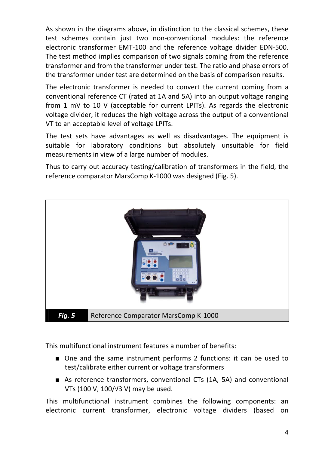As shown in the diagrams above, in distinction to the classical schemes, these test schemes contain just two non‐conventional modules: the reference electronic transformer EMT‐100 and the reference voltage divider EDN‐500. The test method implies comparison of two signals coming from the reference transformer and from the transformer under test. The ratio and phase errors of the transformer under test are determined on the basis of comparison results.

The electronic transformer is needed to convert the current coming from a conventional reference CT (rated at 1A and 5A) into an output voltage ranging from 1 mV to 10 V (acceptable for current LPITs). As regards the electronic voltage divider, it reduces the high voltage across the output of a conventional VT to an acceptable level of voltage LPITs.

The test sets have advantages as well as disadvantages. The equipment is suitable for laboratory conditions but absolutely unsuitable for field measurements in view of a large number of modules.

Thus to carry out accuracy testing/calibration of transformers in the field, the reference comparator MarsComp K‐1000 was designed (Fig. 5).



This multifunctional instrument features a number of benefits:

- One and the same instrument performs 2 functions: it can be used to test/calibrate either current or voltage transformers
- As reference transformers, conventional CTs (1A, 5A) and conventional VTs (100 V, 100/√3 V) may be used.

This multifunctional instrument combines the following components: an electronic current transformer, electronic voltage dividers (based on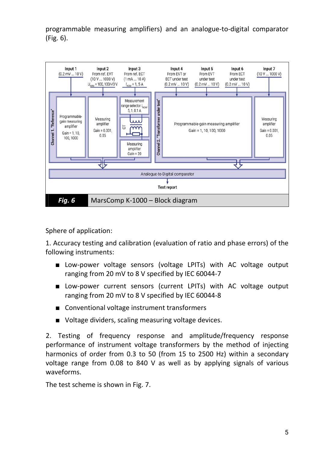programmable measuring amplifiers) and an analogue‐to‐digital comparator (Fig. 6).



Sphere of application:

1. Accuracy testing and calibration (evaluation of ratio and phase errors) of the following instruments:

- Low-power voltage sensors (voltage LPITs) with AC voltage output ranging from 20 mV to 8 V specified by IEC 60044‐7
- Low‐power current sensors (current LPITs) with AC voltage output ranging from 20 mV to 8 V specified by IEC 60044‐8
- Conventional voltage instrument transformers
- Voltage dividers, scaling measuring voltage devices.

2. Testing of frequency response and amplitude/frequency response performance of instrument voltage transformers by the method of injecting harmonics of order from 0.3 to 50 (from 15 to 2500 Hz) within a secondary voltage range from 0.08 to 840 V as well as by applying signals of various waveforms.

The test scheme is shown in Fig. 7.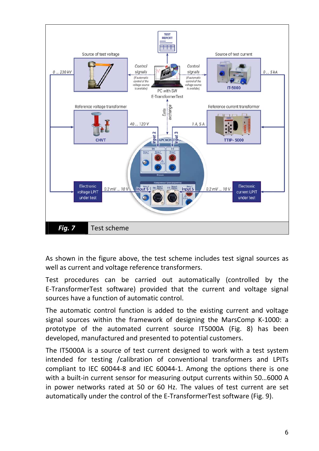

As shown in the figure above, the test scheme includes test signal sources as well as current and voltage reference transformers.

Test procedures can be carried out automatically (controlled by the E‐TransformerTest software) provided that the current and voltage signal sources have a function of automatic control.

The automatic control function is added to the existing current and voltage signal sources within the framework of designing the MarsComp K‐1000: a prototype of the automated current source IT5000A (Fig. 8) has been developed, manufactured and presented to potential customers.

The IT5000A is a source of test current designed to work with a test system intended for testing /calibration of conventional transformers and LPITs compliant to IEC 60044‐8 and IEC 60044‐1. Among the options there is one with a built-in current sensor for measuring output currents within 50...6000 A in power networks rated at 50 or 60 Hz. The values of test current are set automatically under the control of the E‐TransformerTest software (Fig. 9).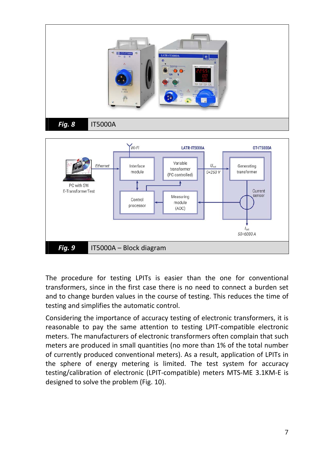

The procedure for testing LPITs is easier than the one for conventional transformers, since in the first case there is no need to connect a burden set and to change burden values in the course of testing. This reduces the time of testing and simplifies the automatic control.

Considering the importance of accuracy testing of electronic transformers, it is reasonable to pay the same attention to testing LPIT‐compatible electronic meters. The manufacturers of electronic transformers often complain that such meters are produced in small quantities (no more than 1% of the total number of currently produced conventional meters). As a result, application of LPITs in the sphere of energy metering is limited. The test system for accuracy testing/calibration of electronic (LPIT‐compatible) meters MTS‐ME 3.1KM‐E is designed to solve the problem (Fig. 10).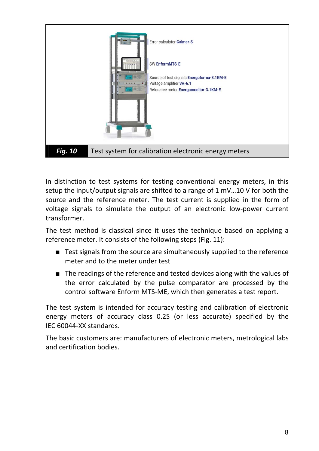

In distinction to test systems for testing conventional energy meters, in this setup the input/output signals are shifted to a range of 1 mV…10 V for both the source and the reference meter. The test current is supplied in the form of voltage signals to simulate the output of an electronic low‐power current transformer.

The test method is classical since it uses the technique based on applying a reference meter. It consists of the following steps (Fig. 11):

- Test signals from the source are simultaneously supplied to the reference meter and to the meter under test
- The readings of the reference and tested devices along with the values of the error calculated by the pulse comparator are processed by the control software Enform MTS‐ME, which then generates a test report.

The test system is intended for accuracy testing and calibration of electronic energy meters of accuracy class 0.2S (or less accurate) specified by the IEC 60044‐XX standards.

The basic customers are: manufacturers of electronic meters, metrological labs and certification bodies.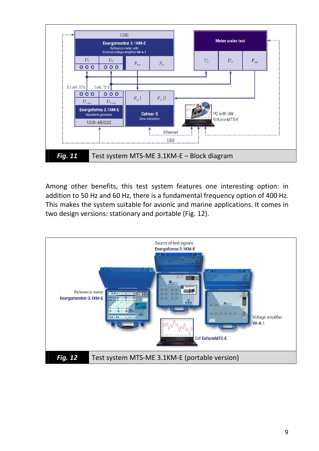

Among other benefits, this test system features one interesting option: in addition to 50 Hz and 60 Hz, there is a fundamental frequency option of 400 Hz. This makes the system suitable for avionic and marine applications. It comes in two design versions: stationary and portable (Fig. 12).